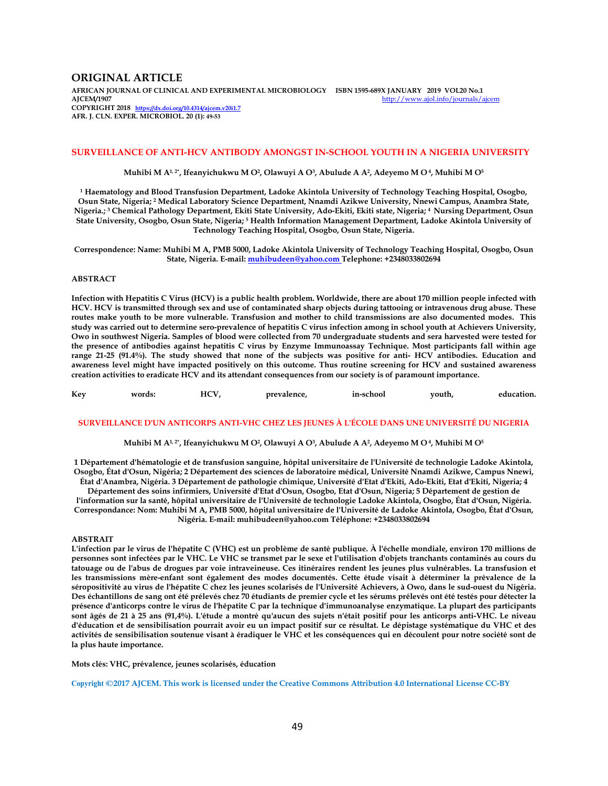## **ORIGINAL ARTICLE**

**AFRICAN JOURNAL OF CLINICAL AND EXPERIMENTAL MICROBIOLOGY ISBN 1595-689X JANUARY 2019 VOL20 No.1**  http://www.ajol.info/journals/ajcem **COPYRIGHT 2018 https://dx.doi.org/10.4314/ajcem.v20i1.7 AFR. J. CLN. EXPER. MICROBIOL. 20 (1): 49-53**

## **SURVEILLANCE OF ANTI-HCV ANTIBODY AMONGST IN-SCHOOL YOUTH IN A NIGERIA UNIVERSITY**

**Muhibi M A1, 2\*, Ifeanyichukwu M O<sup>2</sup> , Olawuyi A O<sup>3</sup> , Abulude A A<sup>2</sup> , Adeyemo M O 4, Muhibi M O<sup>5</sup>**

**1 Haematology and Blood Transfusion Department, Ladoke Akintola University of Technology Teaching Hospital, Osogbo, Osun State, Nigeria; <sup>2</sup> Medical Laboratory Science Department, Nnamdi Azikwe University, Nnewi Campus, Anambra State, Nigeria.; <sup>3</sup> Chemical Pathology Department, Ekiti State University, Ado-Ekiti, Ekiti state, Nigeria; 4 Nursing Department, Osun State University, Osogbo, Osun State, Nigeria; <sup>5</sup> Health Information Management Department, Ladoke Akintola University of Technology Teaching Hospital, Osogbo, Osun State, Nigeria.** 

**Correspondence: Name: Muhibi M A, PMB 5000, Ladoke Akintola University of Technology Teaching Hospital, Osogbo, Osun State, Nigeria. E-mail: muhibudeen@yahoo.com Telephone: +2348033802694** 

### **ABSTRACT**

**Infection with Hepatitis C Virus (HCV) is a public health problem. Worldwide, there are about 170 million people infected with HCV. HCV is transmitted through sex and use of contaminated sharp objects during tattooing or intravenous drug abuse. These routes make youth to be more vulnerable. Transfusion and mother to child transmissions are also documented modes. This study was carried out to determine sero-prevalence of hepatitis C virus infection among in school youth at Achievers University, Owo in southwest Nigeria. Samples of blood were collected from 70 undergraduate students and sera harvested were tested for the presence of antibodies against hepatitis C virus by Enzyme Immunoassay Technique. Most participants fall within age range 21-25 (91.4%). The study showed that none of the subjects was positive for anti- HCV antibodies. Education and awareness level might have impacted positively on this outcome. Thus routine screening for HCV and sustained awareness creation activities to eradicate HCV and its attendant consequences from our society is of paramount importance.** 

| Kev | words: | HCV | prevalence. | in-school | vouth. | education. |
|-----|--------|-----|-------------|-----------|--------|------------|
|     |        |     |             |           |        |            |

### **SURVEILLANCE D'UN ANTICORPS ANTI-VHC CHEZ LES JEUNES À L'ÉCOLE DANS UNE UNIVERSITÉ DU NIGERIA**

**Muhibi M A1, 2\*, Ifeanyichukwu M O<sup>2</sup> , Olawuyi A O<sup>3</sup> , Abulude A A<sup>2</sup> , Adeyemo M O 4, Muhibi M O<sup>5</sup>**

**1 Département d'hématologie et de transfusion sanguine, hôpital universitaire de l'Université de technologie Ladoke Akintola, Osogbo, État d'Osun, Nigéria; 2 Département des sciences de laboratoire médical, Université Nnamdi Azikwe, Campus Nnewi, État d'Anambra, Nigéria. 3 Département de pathologie chimique, Université d'Etat d'Ekiti, Ado-Ekiti, Etat d'Ekiti, Nigeria; 4 Département des soins infirmiers, Université d'Etat d'Osun, Osogbo, Etat d'Osun, Nigeria; 5 Département de gestion de l'information sur la santé, hôpital universitaire de l'Université de technologie Ladoke Akintola, Osogbo, État d'Osun, Nigéria. Correspondance: Nom: Muhibi M A, PMB 5000, hôpital universitaire de l'Université de Ladoke Akintola, Osogbo, État d'Osun, Nigéria. E-mail: muhibudeen@yahoo.com Téléphone: +2348033802694** 

#### **ABSTRAIT**

**L'infection par le virus de l'hépatite C (VHC) est un problème de santé publique. À l'échelle mondiale, environ 170 millions de personnes sont infectées par le VHC. Le VHC se transmet par le sexe et l'utilisation d'objets tranchants contaminés au cours du tatouage ou de l'abus de drogues par voie intraveineuse. Ces itinéraires rendent les jeunes plus vulnérables. La transfusion et les transmissions mère-enfant sont également des modes documentés. Cette étude visait à déterminer la prévalence de la séropositivité au virus de l'hépatite C chez les jeunes scolarisés de l'Université Achievers, à Owo, dans le sud-ouest du Nigéria. Des échantillons de sang ont été prélevés chez 70 étudiants de premier cycle et les sérums prélevés ont été testés pour détecter la présence d'anticorps contre le virus de l'hépatite C par la technique d'immunoanalyse enzymatique. La plupart des participants sont âgés de 21 à 25 ans (91,4%). L'étude a montré qu'aucun des sujets n'était positif pour les anticorps anti-VHC. Le niveau d'éducation et de sensibilisation pourrait avoir eu un impact positif sur ce résultat. Le dépistage systématique du VHC et des activités de sensibilisation soutenue visant à éradiquer le VHC et les conséquences qui en découlent pour notre société sont de la plus haute importance.** 

**Mots clés: VHC, prévalence, jeunes scolarisés, éducation** 

**Copyright ©2017 AJCEM. This work is licensed under the Creative Commons Attribution 4.0 International License CC-BY**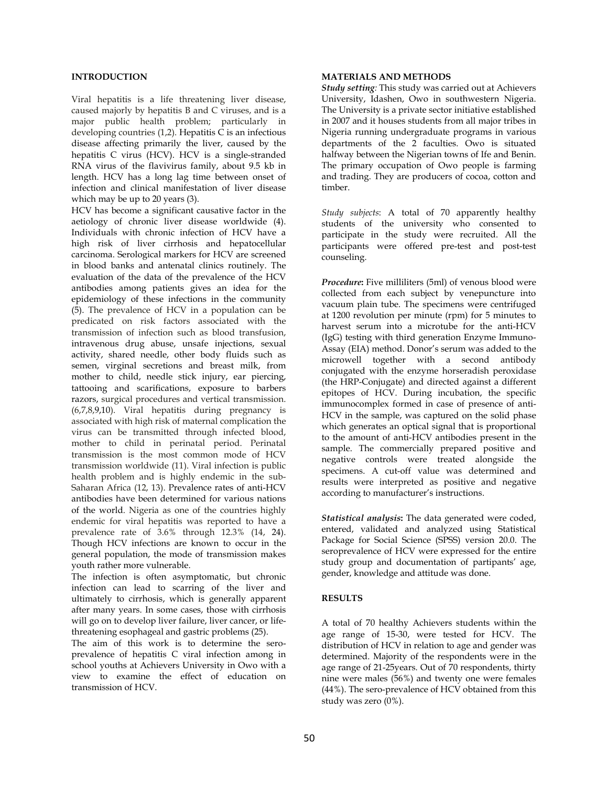# **INTRODUCTION**

Viral hepatitis is a life threatening liver disease, caused majorly by hepatitis B and C viruses, and is a major public health problem; particularly in developing countries  $(1,2)$ . Hepatitis  $\overline{C}$  is an infectious disease affecting primarily the liver, caused by the hepatitis C virus (HCV). HCV is a single-stranded RNA virus of the flavivirus family, about 9.5 kb in length. HCV has a long lag time between onset of infection and clinical manifestation of liver disease which may be up to 20 years (3).

HCV has become a significant causative factor in the aetiology of chronic liver disease worldwide (4). Individuals with chronic infection of HCV have a high risk of liver cirrhosis and hepatocellular carcinoma. Serological markers for HCV are screened in blood banks and antenatal clinics routinely. The evaluation of the data of the prevalence of the HCV antibodies among patients gives an idea for the epidemiology of these infections in the community (5). The prevalence of HCV in a population can be predicated on risk factors associated with the transmission of infection such as blood transfusion, intravenous drug abuse, unsafe injections, sexual activity, shared needle, other body fluids such as semen, virginal secretions and breast milk, from mother to child, needle stick injury, ear piercing, tattooing and scarifications, exposure to barbers razors, surgical procedures and vertical transmission. (6,7,8,9,10). Viral hepatitis during pregnancy is associated with high risk of maternal complication the virus can be transmitted through infected blood, mother to child in perinatal period. Perinatal transmission is the most common mode of HCV transmission worldwide (11). Viral infection is public health problem and is highly endemic in the sub-Saharan Africa (12, 13). Prevalence rates of anti-HCV antibodies have been determined for various nations of the world. Nigeria as one of the countries highly endemic for viral hepatitis was reported to have a prevalence rate of 3.6% through 12.3% (14, 24). Though HCV infections are known to occur in the general population, the mode of transmission makes youth rather more vulnerable.

The infection is often asymptomatic, but chronic infection can lead to scarring of the liver and ultimately to cirrhosis, which is generally apparent after many years. In some cases, those with cirrhosis will go on to develop liver failure, liver cancer, or lifethreatening esophageal and gastric problems (25).

The aim of this work is to determine the seroprevalence of hepatitis C viral infection among in school youths at Achievers University in Owo with a view to examine the effect of education on transmission of HCV.

# **MATERIALS AND METHODS**

*Study setting:* This study was carried out at Achievers University, Idashen, Owo in southwestern Nigeria. The University is a private sector initiative established in 2007 and it houses students from all major tribes in Nigeria running undergraduate programs in various departments of the 2 faculties. Owo is situated halfway between the Nigerian towns of Ife and Benin. The primary occupation of Owo people is farming and trading. They are producers of cocoa, cotton and timber.

*Study subjects*: A total of 70 apparently healthy students of the university who consented to participate in the study were recruited. All the participants were offered pre-test and post-test counseling.

*Procedure***:** Five milliliters (5ml) of venous blood were collected from each subject by venepuncture into vacuum plain tube. The specimens were centrifuged at 1200 revolution per minute (rpm) for 5 minutes to harvest serum into a microtube for the anti-HCV (IgG) testing with third generation Enzyme Immuno-Assay (EIA) method. Donor's serum was added to the microwell together with a second antibody conjugated with the enzyme horseradish peroxidase (the HRP-Conjugate) and directed against a different epitopes of HCV. During incubation, the specific immunocomplex formed in case of presence of anti-HCV in the sample, was captured on the solid phase which generates an optical signal that is proportional to the amount of anti-HCV antibodies present in the sample. The commercially prepared positive and negative controls were treated alongside the specimens. A cut-off value was determined and results were interpreted as positive and negative according to manufacturer's instructions.

*Statistical analysis***:** The data generated were coded, entered, validated and analyzed using Statistical Package for Social Science (SPSS) version 20.0. The seroprevalence of HCV were expressed for the entire study group and documentation of partipants' age, gender, knowledge and attitude was done.

# **RESULTS**

A total of 70 healthy Achievers students within the age range of 15-30, were tested for HCV. The distribution of HCV in relation to age and gender was determined. Majority of the respondents were in the age range of 21-25years. Out of 70 respondents, thirty nine were males (56%) and twenty one were females (44%). The sero-prevalence of HCV obtained from this study was zero (0%).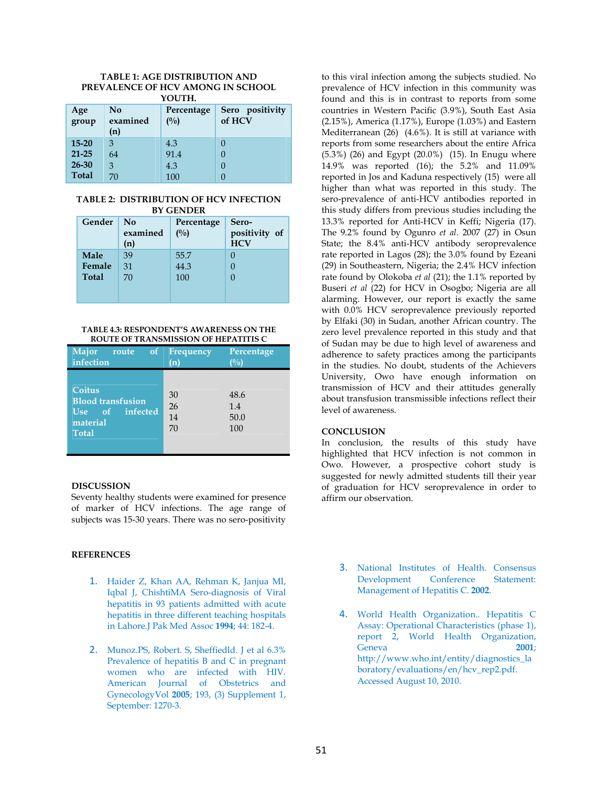#### **TABLE 1: AGE DISTRIBUTION AND PREVALENCE OF HCV AMONG IN SCHOOL YOUTH.**

| ,,,,,,,,     |                       |                      |                           |  |  |  |  |
|--------------|-----------------------|----------------------|---------------------------|--|--|--|--|
| Age<br>group | No<br>examined<br>(n) | Percentage<br>$($ %) | Sero positivity<br>of HCV |  |  |  |  |
| $15 - 20$    | 3                     | 4.3                  | 0                         |  |  |  |  |
| $21 - 25$    | 64                    | 91.4                 |                           |  |  |  |  |
| $26 - 30$    | 3                     | 4.3                  |                           |  |  |  |  |
| <b>Total</b> | 70                    | 100                  |                           |  |  |  |  |

## **TABLE 2: DISTRIBUTION OF HCV INFECTION BY GENDER**

| Gender       | No<br>examined<br>(n) | Percentage<br>$($ %) | Sero-<br>positivity of<br><b>HCV</b> |
|--------------|-----------------------|----------------------|--------------------------------------|
| <b>Male</b>  | 39                    | 55.7                 |                                      |
| Female       | 31                    | 44.3                 |                                      |
| <b>Total</b> | 70                    | 100                  | 0                                    |
|              |                       |                      |                                      |

## **TABLE 4.3: RESPONDENT'S AWARENESS ON THE ROUTE OF TRANSMISSION OF HEPATITIS C**

| Major<br>of<br>route<br>infection                                                       | <b>Frequency</b><br>$\left( \textbf{n} \right)$ | Percentage                 |
|-----------------------------------------------------------------------------------------|-------------------------------------------------|----------------------------|
| Coitus<br><b>Blood transfusion</b><br>infected<br>of<br>Use<br>material<br><b>Total</b> | 30<br>26<br>14<br>70                            | 48.6<br>1.4<br>50.0<br>100 |

# **DISCUSSION**

Seventy healthy students were examined for presence of marker of HCV infections. The age range of subjects was 15-30 years. There was no sero-positivity

# **REFERENCES**

- 1. Haider Z, Khan AA, Rehman K, Janjua MI, Iqbal J, ChishtiMA Sero-diagnosis of Viral hepatitis in 93 patients admitted with acute hepatitis in three different teaching hospitals in Lahore.J Pak Med Assoc **1994**; 44: 182-4.
- 2. Munoz.PS, Robert. S, Sheffiedld. J et al 6.3% Prevalence of hepatitis B and C in pregnant women who are infected with HIV. American Journal of Obstetrics and GynecologyVol **2005**; 193, (3) Supplement 1, September: 1270-3.

to this viral infection among the subjects studied. No prevalence of HCV infection in this community was found and this is in contrast to reports from some countries in Western Pacific (3.9%), South East Asia (2.15%), America (1.17%), Europe (1.03%) and Eastern Mediterranean (26) (4.6%). It is still at variance with reports from some researchers about the entire Africa (5.3%) (26) and Egypt (20.0%) (15). In Enugu where 14.9% was reported (16); the 5.2% and 11.09% reported in Jos and Kaduna respectively (15) were all higher than what was reported in this study. The sero-prevalence of anti-HCV antibodies reported in this study differs from previous studies including the 13.3% reported for Anti-HCV in Keffi; Nigeria (17). The 9.2% found by Ogunro *et al*. 2007 (27) in Osun State; the 8.4% anti-HCV antibody seroprevalence rate reported in Lagos (28); the 3.0% found by Ezeani (29) in Southeastern, Nigeria; the 2.4% HCV infection rate found by Olokoba *et al* (21); the 1.1% reported by Buseri *et al* (22) for HCV in Osogbo; Nigeria are all alarming. However, our report is exactly the same with 0.0% HCV seroprevalence previously reported by Elfaki (30) in Sudan, another African country. The zero level prevalence reported in this study and that of Sudan may be due to high level of awareness and adherence to safety practices among the participants in the studies. No doubt, students of the Achievers University, Owo have enough information on transmission of HCV and their attitudes generally about transfusion transmissible infections reflect their level of awareness.

# **CONCLUSION**

In conclusion, the results of this study have highlighted that HCV infection is not common in Owo. However, a prospective cohort study is suggested for newly admitted students till their year of graduation for HCV seroprevalence in order to affirm our observation.

- 3. National Institutes of Health. Consensus Development Conference Statement: Management of Hepatitis C. **2002**.
- 4. World Health Organization.. Hepatitis C Assay: Operational Characteristics (phase 1), report 2, World Health Organization, Geneva **2001**; http://www.who.int/entity/diagnostics\_la boratory/evaluations/en/hcv\_rep2.pdf. Accessed August 10, 2010.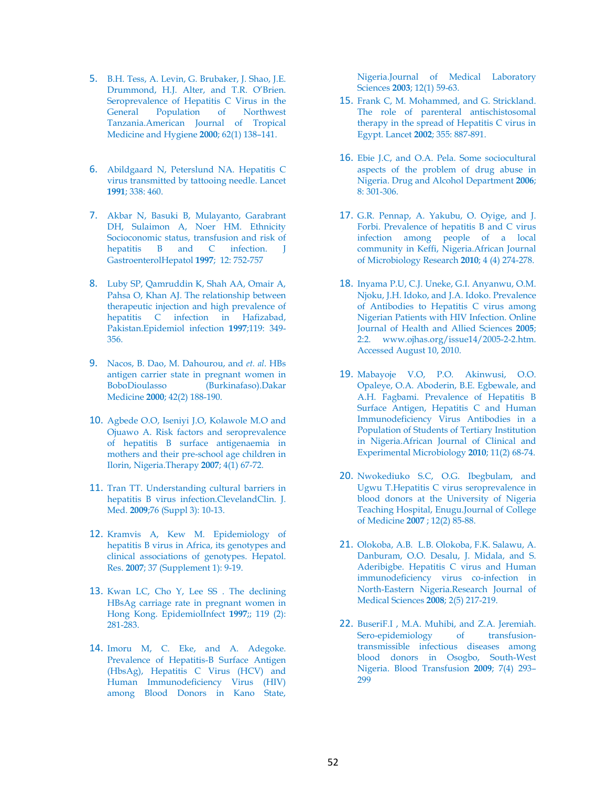- 5. B.H. Tess, A. Levin, G. Brubaker, J. Shao, J.E. Drummond, H.J. Alter, and T.R. O'Brien. Seroprevalence of Hepatitis C Virus in the General Population of Northwest Tanzania.American Journal of Tropical Medicine and Hygiene **2000**; 62(1) 138–141.
- 6. Abildgaard N, Peterslund NA. Hepatitis C virus transmitted by tattooing needle. Lancet **1991**; 338: 460.
- 7. Akbar N, Basuki B, Mulayanto, Garabrant DH, Sulaimon A, Noer HM. Ethnicity Socioconomic status, transfusion and risk of hepatitis B and C infection. I GastroenterolHepatol **1997**; 12: 752-757
- 8. Luby SP, Qamruddin K, Shah AA, Omair A, Pahsa O, Khan AJ. The relationship between therapeutic injection and high prevalence of hepatitis C infection in Hafizabad, Pakistan.Epidemiol infection **1997**;119: 349- 356.
- 9. Nacos, B. Dao, M. Dahourou, and *et. al*. HBs antigen carrier state in pregnant women in BoboDioulasso (Burkinafaso).Dakar Medicine **2000**; 42(2) 188-190.
- 10. Agbede O.O, Iseniyi J.O, Kolawole M.O and Ojuawo A. Risk factors and seroprevalence of hepatitis B surface antigenaemia in mothers and their pre-school age children in Ilorin, Nigeria.Therapy **2007**; 4(1) 67-72.
- 11. Tran TT. Understanding cultural barriers in hepatitis B virus infection.ClevelandClin. J. Med. **2009**;76 (Suppl 3): 10-13.
- 12. Kramvis A, Kew M. Epidemiology of hepatitis B virus in Africa, its genotypes and clinical associations of genotypes. Hepatol. Res. **2007**; 37 (Supplement 1): 9-19.
- 13. Kwan LC, Cho Y, Lee SS . The declining HBsAg carriage rate in pregnant women in Hong Kong. EpidemiolInfect **1997**;; 119 (2): 281-283.
- 14. Imoru M, C. Eke, and A. Adegoke. Prevalence of Hepatitis-B Surface Antigen (HbsAg), Hepatitis C Virus (HCV) and Human Immunodeficiency Virus (HIV) among Blood Donors in Kano State,

Nigeria.Journal of Medical Laboratory Sciences **2003**; 12(1) 59-63.

- 15. Frank C, M. Mohammed, and G. Strickland. The role of parenteral antischistosomal therapy in the spread of Hepatitis C virus in Egypt. Lancet **2002**; 355: 887-891.
- 16. Ebie J.C, and O.A. Pela. Some sociocultural aspects of the problem of drug abuse in Nigeria. Drug and Alcohol Department **2006**; 8: 301-306.
- 17. G.R. Pennap, A. Yakubu, O. Oyige, and J. Forbi. Prevalence of hepatitis B and C virus infection among people of a local community in Keffi, Nigeria.African Journal of Microbiology Research **2010**; 4 (4) 274-278.
- 18. Inyama P.U, C.J. Uneke, G.I. Anyanwu, O.M. Njoku, J.H. Idoko, and J.A. Idoko. Prevalence of Antibodies to Hepatitis C virus among Nigerian Patients with HIV Infection. Online Journal of Health and Allied Sciences **2005**; 2:2. www.ojhas.org/issue14/2005-2-2.htm. Accessed August 10, 2010.
- 19. Mabayoje V.O, P.O. Akinwusi, O.O. Opaleye, O.A. Aboderin, B.E. Egbewale, and A.H. Fagbami. Prevalence of Hepatitis B Surface Antigen, Hepatitis C and Human Immunodeficiency Virus Antibodies in a Population of Students of Tertiary Institution in Nigeria.African Journal of Clinical and Experimental Microbiology **2010**; 11(2) 68-74.
- 20. Nwokediuko S.C, O.G. Ibegbulam, and Ugwu T.Hepatitis C virus seroprevalence in blood donors at the University of Nigeria Teaching Hospital, Enugu.Journal of College of Medicine **2007** ; 12(2) 85-88.
- 21. Olokoba, A.B. L.B. Olokoba, F.K. Salawu, A. Danburam, O.O. Desalu, J. Midala, and S. Aderibigbe. Hepatitis C virus and Human immunodeficiency virus co-infection in North-Eastern Nigeria.Research Journal of Medical Sciences **2008**; 2(5) 217-219.
- 22. BuseriF.I , M.A. Muhibi, and Z.A. Jeremiah. Sero-epidemiology of transfusiontransmissible infectious diseases among blood donors in Osogbo, South-West Nigeria. Blood Transfusion **2009**; 7(4) 293– 299